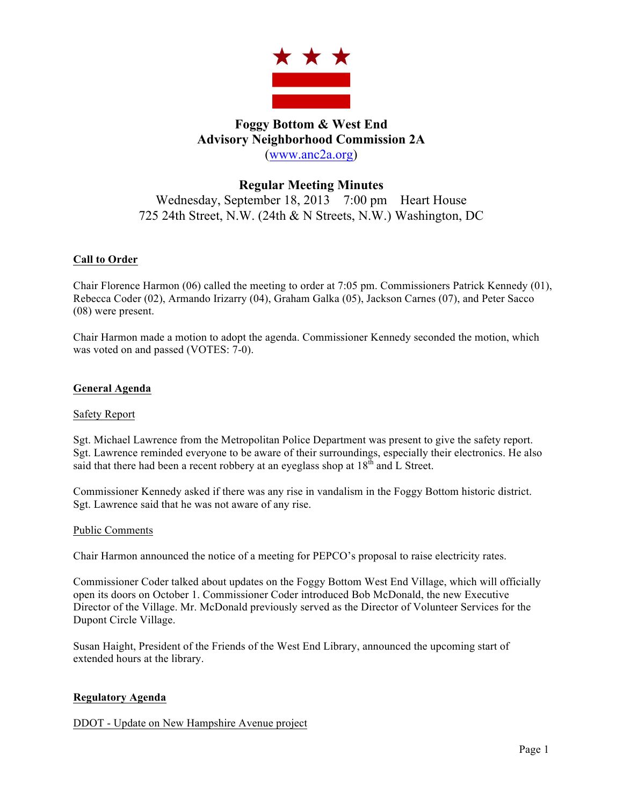

# **Foggy Bottom & West End Advisory Neighborhood Commission 2A** (www.anc2a.org)

# **Regular Meeting Minutes** Wednesday, September 18, 2013 7:00 pm Heart House 725 24th Street, N.W. (24th & N Streets, N.W.) Washington, DC

# **Call to Order**

Chair Florence Harmon (06) called the meeting to order at 7:05 pm. Commissioners Patrick Kennedy (01), Rebecca Coder (02), Armando Irizarry (04), Graham Galka (05), Jackson Carnes (07), and Peter Sacco (08) were present.

Chair Harmon made a motion to adopt the agenda. Commissioner Kennedy seconded the motion, which was voted on and passed (VOTES: 7-0).

## **General Agenda**

#### Safety Report

Sgt. Michael Lawrence from the Metropolitan Police Department was present to give the safety report. Sgt. Lawrence reminded everyone to be aware of their surroundings, especially their electronics. He also said that there had been a recent robbery at an eyeglass shop at  $18<sup>th</sup>$  and L Street.

Commissioner Kennedy asked if there was any rise in vandalism in the Foggy Bottom historic district. Sgt. Lawrence said that he was not aware of any rise.

#### Public Comments

Chair Harmon announced the notice of a meeting for PEPCO's proposal to raise electricity rates.

Commissioner Coder talked about updates on the Foggy Bottom West End Village, which will officially open its doors on October 1. Commissioner Coder introduced Bob McDonald, the new Executive Director of the Village. Mr. McDonald previously served as the Director of Volunteer Services for the Dupont Circle Village.

Susan Haight, President of the Friends of the West End Library, announced the upcoming start of extended hours at the library.

#### **Regulatory Agenda**

DDOT - Update on New Hampshire Avenue project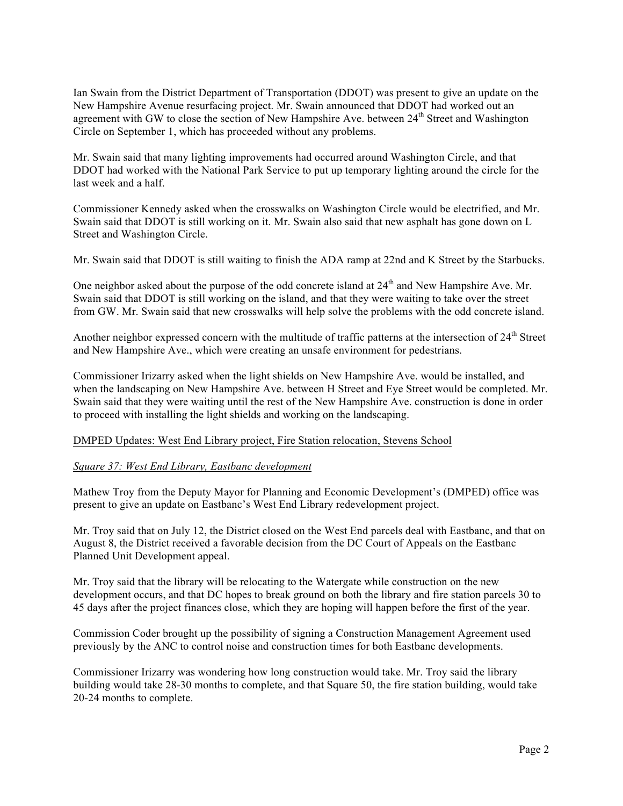Ian Swain from the District Department of Transportation (DDOT) was present to give an update on the New Hampshire Avenue resurfacing project. Mr. Swain announced that DDOT had worked out an agreement with GW to close the section of New Hampshire Ave. between 24<sup>th</sup> Street and Washington Circle on September 1, which has proceeded without any problems.

Mr. Swain said that many lighting improvements had occurred around Washington Circle, and that DDOT had worked with the National Park Service to put up temporary lighting around the circle for the last week and a half.

Commissioner Kennedy asked when the crosswalks on Washington Circle would be electrified, and Mr. Swain said that DDOT is still working on it. Mr. Swain also said that new asphalt has gone down on L Street and Washington Circle.

Mr. Swain said that DDOT is still waiting to finish the ADA ramp at 22nd and K Street by the Starbucks.

One neighbor asked about the purpose of the odd concrete island at 24<sup>th</sup> and New Hampshire Ave. Mr. Swain said that DDOT is still working on the island, and that they were waiting to take over the street from GW. Mr. Swain said that new crosswalks will help solve the problems with the odd concrete island.

Another neighbor expressed concern with the multitude of traffic patterns at the intersection of 24<sup>th</sup> Street and New Hampshire Ave., which were creating an unsafe environment for pedestrians.

Commissioner Irizarry asked when the light shields on New Hampshire Ave. would be installed, and when the landscaping on New Hampshire Ave. between H Street and Eye Street would be completed. Mr. Swain said that they were waiting until the rest of the New Hampshire Ave. construction is done in order to proceed with installing the light shields and working on the landscaping.

#### DMPED Updates: West End Library project, Fire Station relocation, Stevens School

#### *Square 37: West End Library, Eastbanc development*

Mathew Troy from the Deputy Mayor for Planning and Economic Development's (DMPED) office was present to give an update on Eastbanc's West End Library redevelopment project.

Mr. Troy said that on July 12, the District closed on the West End parcels deal with Eastbanc, and that on August 8, the District received a favorable decision from the DC Court of Appeals on the Eastbanc Planned Unit Development appeal.

Mr. Troy said that the library will be relocating to the Watergate while construction on the new development occurs, and that DC hopes to break ground on both the library and fire station parcels 30 to 45 days after the project finances close, which they are hoping will happen before the first of the year.

Commission Coder brought up the possibility of signing a Construction Management Agreement used previously by the ANC to control noise and construction times for both Eastbanc developments.

Commissioner Irizarry was wondering how long construction would take. Mr. Troy said the library building would take 28-30 months to complete, and that Square 50, the fire station building, would take 20-24 months to complete.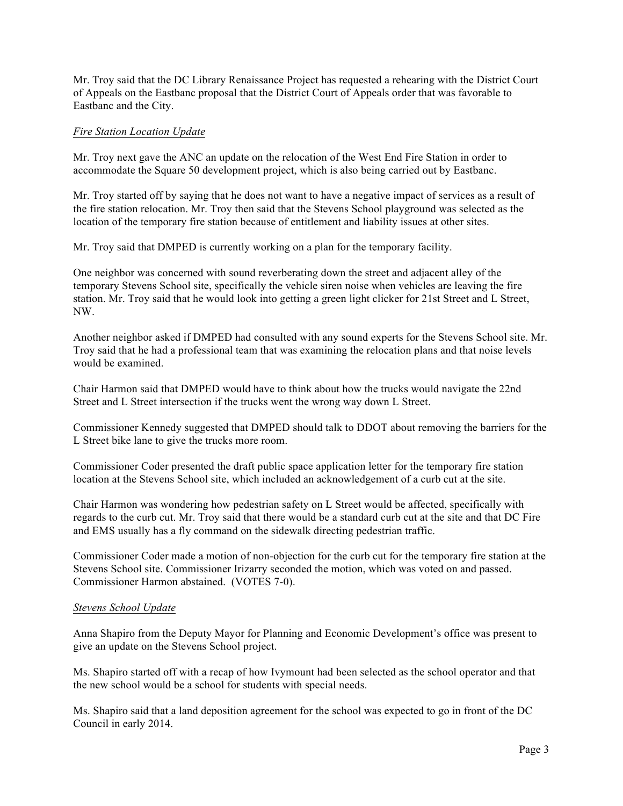Mr. Troy said that the DC Library Renaissance Project has requested a rehearing with the District Court of Appeals on the Eastbanc proposal that the District Court of Appeals order that was favorable to Eastbanc and the City.

#### *Fire Station Location Update*

Mr. Troy next gave the ANC an update on the relocation of the West End Fire Station in order to accommodate the Square 50 development project, which is also being carried out by Eastbanc.

Mr. Troy started off by saying that he does not want to have a negative impact of services as a result of the fire station relocation. Mr. Troy then said that the Stevens School playground was selected as the location of the temporary fire station because of entitlement and liability issues at other sites.

Mr. Troy said that DMPED is currently working on a plan for the temporary facility.

One neighbor was concerned with sound reverberating down the street and adjacent alley of the temporary Stevens School site, specifically the vehicle siren noise when vehicles are leaving the fire station. Mr. Troy said that he would look into getting a green light clicker for 21st Street and L Street, NW.

Another neighbor asked if DMPED had consulted with any sound experts for the Stevens School site. Mr. Troy said that he had a professional team that was examining the relocation plans and that noise levels would be examined.

Chair Harmon said that DMPED would have to think about how the trucks would navigate the 22nd Street and L Street intersection if the trucks went the wrong way down L Street.

Commissioner Kennedy suggested that DMPED should talk to DDOT about removing the barriers for the L Street bike lane to give the trucks more room.

Commissioner Coder presented the draft public space application letter for the temporary fire station location at the Stevens School site, which included an acknowledgement of a curb cut at the site.

Chair Harmon was wondering how pedestrian safety on L Street would be affected, specifically with regards to the curb cut. Mr. Troy said that there would be a standard curb cut at the site and that DC Fire and EMS usually has a fly command on the sidewalk directing pedestrian traffic.

Commissioner Coder made a motion of non-objection for the curb cut for the temporary fire station at the Stevens School site. Commissioner Irizarry seconded the motion, which was voted on and passed. Commissioner Harmon abstained. (VOTES 7-0).

#### *Stevens School Update*

Anna Shapiro from the Deputy Mayor for Planning and Economic Development's office was present to give an update on the Stevens School project.

Ms. Shapiro started off with a recap of how Ivymount had been selected as the school operator and that the new school would be a school for students with special needs.

Ms. Shapiro said that a land deposition agreement for the school was expected to go in front of the DC Council in early 2014.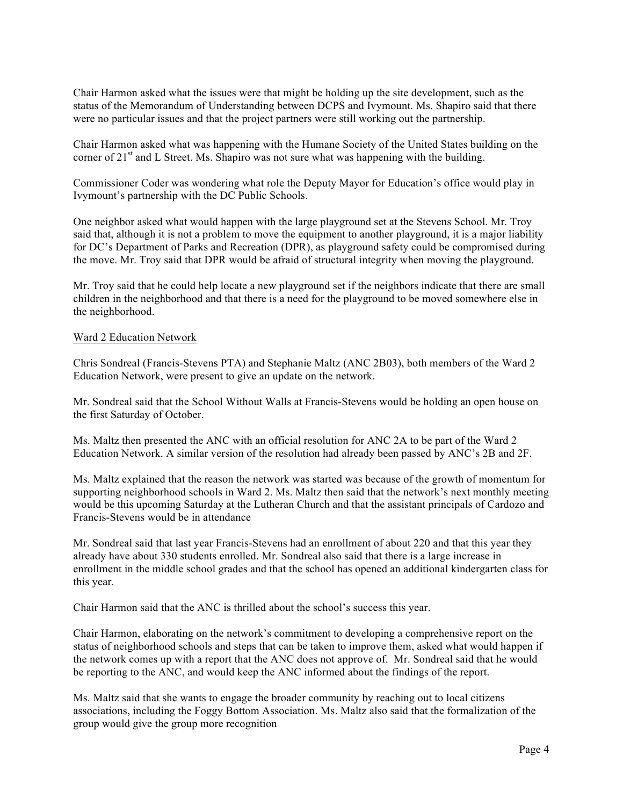Chair Harmon asked what the issues were that might be holding up the site development, such as the status of the Memorandum of Understanding between DCPS and Ivymount. Ms. Shapiro said that there were no particular issues and that the project partners were still working out the partnership.

Chair Harmon asked what was happening with the Humane Society of the United States building on the corner of  $21<sup>st</sup>$  and L Street. Ms. Shapiro was not sure what was happening with the building.

Commissioner Coder was wondering what role the Deputy Mayor for Education's office would play in Ivymount's partnership with the DC Public Schools.

One neighbor asked what would happen with the large playground set at the Stevens School. Mr. Troy said that, although it is not a problem to move the equipment to another playground, it is a major liability for DC's Department of Parks and Recreation (DPR), as playground safety could be compromised during the move. Mr. Troy said that DPR would be afraid of structural integrity when moving the playground.

Mr. Troy said that he could help locate a new playground set if the neighbors indicate that there are small children in the neighborhood and that there is a need for the playground to be moved somewhere else in the neighborhood.

#### Ward 2 Education Network

Chris Sondreal (Francis-Stevens PTA) and Stephanie Maltz (ANC 2B03), both members of the Ward 2 Education Network, were present to give an update on the network.

Mr. Sondreal said that the School Without Walls at Francis-Stevens would be holding an open house on the first Saturday of October.

Ms. Maltz then presented the ANC with an official resolution for ANC 2A to be part of the Ward 2 Education Network. A similar version of the resolution had already been passed by ANC's 2B and 2F.

Ms. Maltz explained that the reason the network was started was because of the growth of momentum for supporting neighborhood schools in Ward 2. Ms. Maltz then said that the network's next monthly meeting would be this upcoming Saturday at the Lutheran Church and that the assistant principals of Cardozo and Francis-Stevens would be in attendance

Mr. Sondreal said that last year Francis-Stevens had an enrollment of about 220 and that this year they already have about 330 students enrolled. Mr. Sondreal also said that there is a large increase in enrollment in the middle school grades and that the school has opened an additional kindergarten class for this year.

Chair Harmon said that the ANC is thrilled about the school's success this year.

Chair Harmon, elaborating on the network's commitment to developing a comprehensive report on the status of neighborhood schools and steps that can be taken to improve them, asked what would happen if the network comes up with a report that the ANC does not approve of. Mr. Sondreal said that he would be reporting to the ANC, and would keep the ANC informed about the findings of the report.

Ms. Maltz said that she wants to engage the broader community by reaching out to local citizens associations, including the Foggy Bottom Association. Ms. Maltz also said that the formalization of the group would give the group more recognition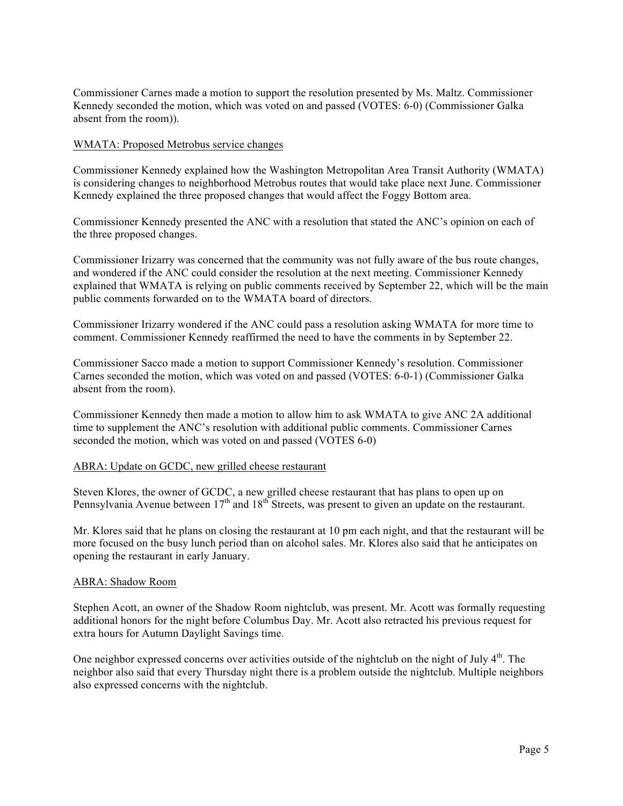Commissioner Carnes made a motion to support the resolution presented by Ms. Maltz. Commissioner Kennedy seconded the motion, which was voted on and passed (VOTES: 6-0) (Commissioner Galka absent from the room)).

#### WMATA: Proposed Metrobus service changes

Commissioner Kennedy explained how the Washington Metropolitan Area Transit Authority (WMATA) is considering changes to neighborhood Metrobus routes that would take place next June. Commissioner Kennedy explained the three proposed changes that would affect the Foggy Bottom area.

Commissioner Kennedy presented the ANC with a resolution that stated the ANC's opinion on each of the three proposed changes.

Commissioner Irizarry was concerned that the community was not fully aware of the bus route changes, and wondered if the ANC could consider the resolution at the next meeting. Commissioner Kennedy explained that WMATA is relying on public comments received by September 22, which will be the main public comments forwarded on to the WMATA board of directors.

Commissioner Irizarry wondered if the ANC could pass a resolution asking WMATA for more time to comment. Commissioner Kennedy reaffirmed the need to have the comments in by September 22.

Commissioner Sacco made a motion to support Commissioner Kennedy's resolution. Commissioner Carnes seconded the motion, which was voted on and passed (VOTES: 6-0-1) (Commissioner Galka absent from the room).

Commissioner Kennedy then made a motion to allow him to ask WMATA to give ANC 2A additional time to supplement the ANC's resolution with additional public comments. Commissioner Carnes seconded the motion, which was voted on and passed (VOTES 6-0)

#### ABRA: Update on GCDC, new grilled cheese restaurant

Steven Klores, the owner of GCDC, a new grilled cheese restaurant that has plans to open up on Pennsylvania Avenue between  $17<sup>th</sup>$  and  $18<sup>th</sup>$  Streets, was present to given an update on the restaurant.

Mr. Klores said that he plans on closing the restaurant at 10 pm each night, and that the restaurant will be more focused on the busy lunch period than on alcohol sales. Mr. Klores also said that he anticipates on opening the restaurant in early January.

#### ABRA: Shadow Room

Stephen Acott, an owner of the Shadow Room nightclub, was present. Mr. Acott was formally requesting additional honors for the night before Columbus Day. Mr. Acott also retracted his previous request for extra hours for Autumn Daylight Savings time.

One neighbor expressed concerns over activities outside of the nightclub on the night of July 4<sup>th</sup>. The neighbor also said that every Thursday night there is a problem outside the nightclub. Multiple neighbors also expressed concerns with the nightclub.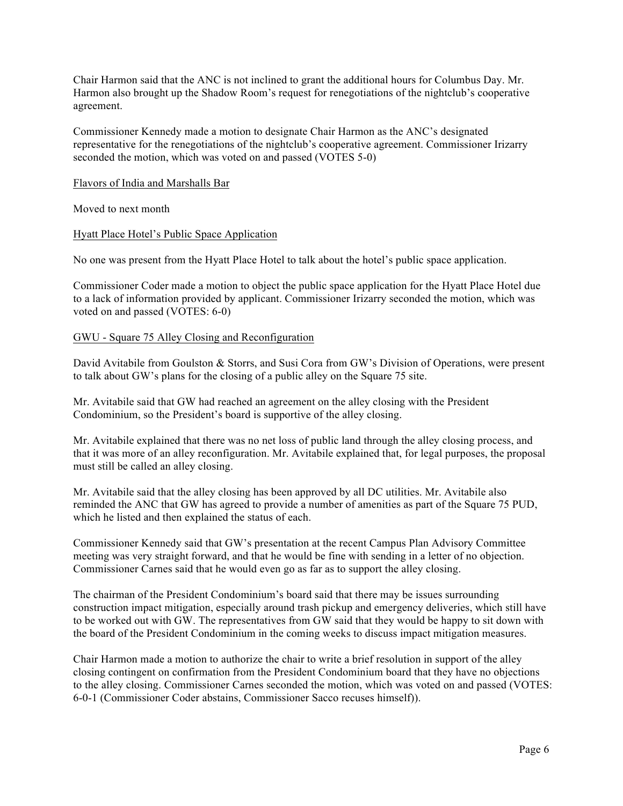Chair Harmon said that the ANC is not inclined to grant the additional hours for Columbus Day. Mr. Harmon also brought up the Shadow Room's request for renegotiations of the nightclub's cooperative agreement.

Commissioner Kennedy made a motion to designate Chair Harmon as the ANC's designated representative for the renegotiations of the nightclub's cooperative agreement. Commissioner Irizarry seconded the motion, which was voted on and passed (VOTES 5-0)

#### Flavors of India and Marshalls Bar

Moved to next month

#### Hyatt Place Hotel's Public Space Application

No one was present from the Hyatt Place Hotel to talk about the hotel's public space application.

Commissioner Coder made a motion to object the public space application for the Hyatt Place Hotel due to a lack of information provided by applicant. Commissioner Irizarry seconded the motion, which was voted on and passed (VOTES: 6-0)

#### GWU - Square 75 Alley Closing and Reconfiguration

David Avitabile from Goulston & Storrs, and Susi Cora from GW's Division of Operations, were present to talk about GW's plans for the closing of a public alley on the Square 75 site.

Mr. Avitabile said that GW had reached an agreement on the alley closing with the President Condominium, so the President's board is supportive of the alley closing.

Mr. Avitabile explained that there was no net loss of public land through the alley closing process, and that it was more of an alley reconfiguration. Mr. Avitabile explained that, for legal purposes, the proposal must still be called an alley closing.

Mr. Avitabile said that the alley closing has been approved by all DC utilities. Mr. Avitabile also reminded the ANC that GW has agreed to provide a number of amenities as part of the Square 75 PUD, which he listed and then explained the status of each.

Commissioner Kennedy said that GW's presentation at the recent Campus Plan Advisory Committee meeting was very straight forward, and that he would be fine with sending in a letter of no objection. Commissioner Carnes said that he would even go as far as to support the alley closing.

The chairman of the President Condominium's board said that there may be issues surrounding construction impact mitigation, especially around trash pickup and emergency deliveries, which still have to be worked out with GW. The representatives from GW said that they would be happy to sit down with the board of the President Condominium in the coming weeks to discuss impact mitigation measures.

Chair Harmon made a motion to authorize the chair to write a brief resolution in support of the alley closing contingent on confirmation from the President Condominium board that they have no objections to the alley closing. Commissioner Carnes seconded the motion, which was voted on and passed (VOTES: 6-0-1 (Commissioner Coder abstains, Commissioner Sacco recuses himself)).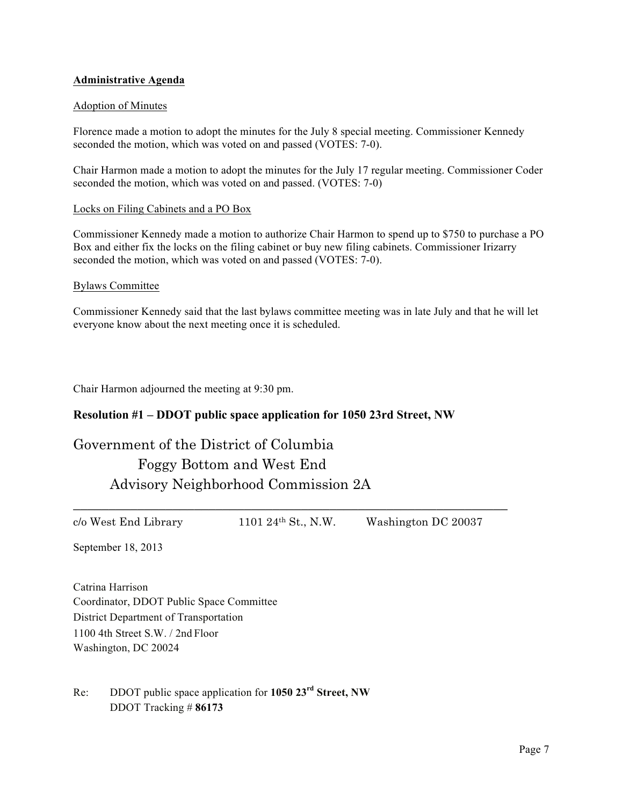#### **Administrative Agenda**

#### Adoption of Minutes

Florence made a motion to adopt the minutes for the July 8 special meeting. Commissioner Kennedy seconded the motion, which was voted on and passed (VOTES: 7-0).

Chair Harmon made a motion to adopt the minutes for the July 17 regular meeting. Commissioner Coder seconded the motion, which was voted on and passed. (VOTES: 7-0)

#### Locks on Filing Cabinets and a PO Box

Commissioner Kennedy made a motion to authorize Chair Harmon to spend up to \$750 to purchase a PO Box and either fix the locks on the filing cabinet or buy new filing cabinets. Commissioner Irizarry seconded the motion, which was voted on and passed (VOTES: 7-0).

#### Bylaws Committee

Commissioner Kennedy said that the last bylaws committee meeting was in late July and that he will let everyone know about the next meeting once it is scheduled.

Chair Harmon adjourned the meeting at 9:30 pm.

#### **Resolution #1 – DDOT public space application for 1050 23rd Street, NW**

Government of the District of Columbia Foggy Bottom and West End Advisory Neighborhood Commission 2A

 $c$ /o West End Library 1101 24<sup>th</sup> St., N.W. Washington DC 20037

\_\_\_\_\_\_\_\_\_\_\_\_\_\_\_\_\_\_\_\_\_\_\_\_\_\_\_\_\_\_\_\_\_\_\_\_\_\_\_\_\_\_\_\_\_\_\_\_\_\_\_\_\_\_\_\_\_\_\_\_\_

September 18, 2013

Catrina Harrison Coordinator, DDOT Public Space Committee District Department of Transportation 1100 4th Street S.W. / 2nd Floor Washington, DC 20024

Re: DDOT public space application for **1050 23rd Street, NW** DDOT Tracking # **86173**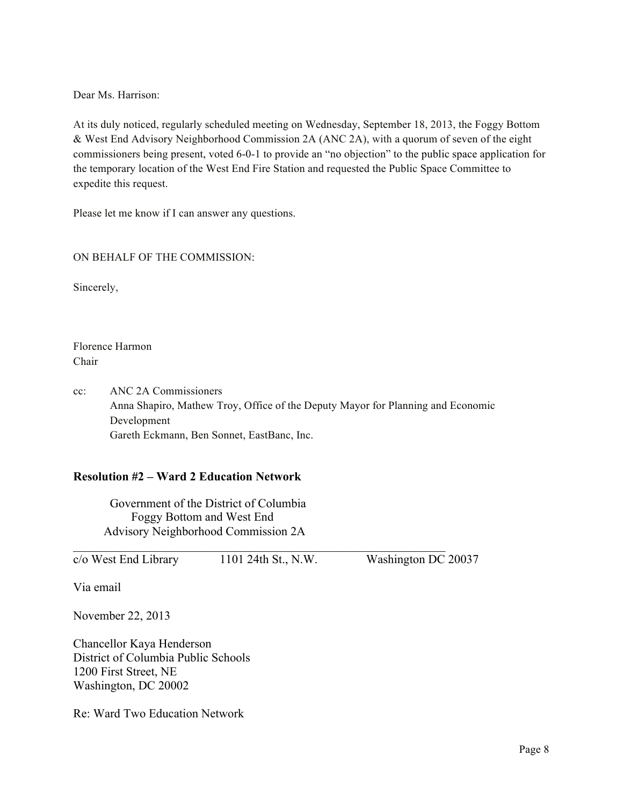Dear Ms. Harrison:

At its duly noticed, regularly scheduled meeting on Wednesday, September 18, 2013, the Foggy Bottom & West End Advisory Neighborhood Commission 2A (ANC 2A), with a quorum of seven of the eight commissioners being present, voted 6-0-1 to provide an "no objection" to the public space application for the temporary location of the West End Fire Station and requested the Public Space Committee to expedite this request.

Please let me know if I can answer any questions.

## ON BEHALF OF THE COMMISSION:

Sincerely,

Florence Harmon Chair

cc: ANC 2A Commissioners Anna Shapiro, Mathew Troy, Office of the Deputy Mayor for Planning and Economic Development Gareth Eckmann, Ben Sonnet, EastBanc, Inc.

 $\mathcal{L}_\text{max}$  , and the contribution of the contribution of the contribution of the contribution of the contribution of the contribution of the contribution of the contribution of the contribution of the contribution of t

# **Resolution #2 – Ward 2 Education Network**

Government of the District of Columbia Foggy Bottom and West End Advisory Neighborhood Commission 2A

 $\overline{c}/\overline{o}$  West End Library 1101 24th St., N.W. Washington DC 20037

Via email

November 22, 2013

Chancellor Kaya Henderson District of Columbia Public Schools 1200 First Street, NE Washington, DC 20002

Re: Ward Two Education Network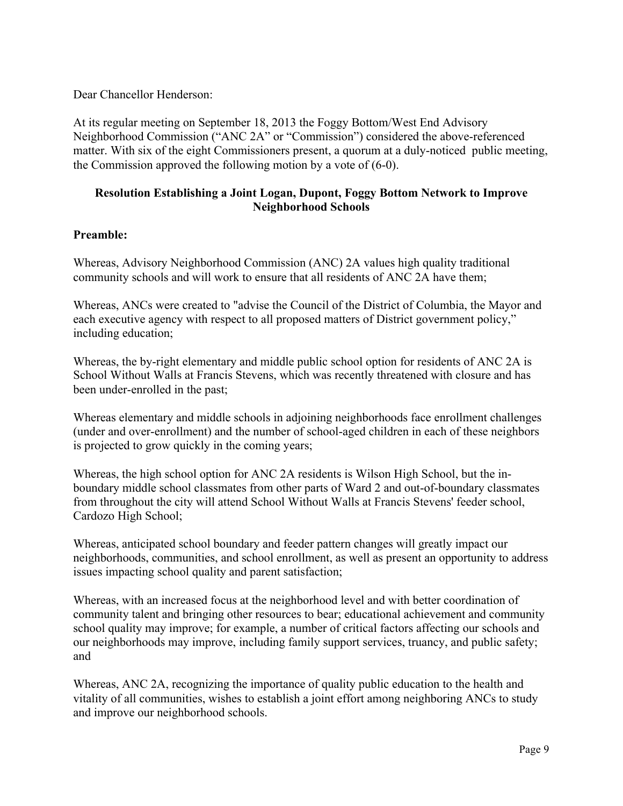Dear Chancellor Henderson:

At its regular meeting on September 18, 2013 the Foggy Bottom/West End Advisory Neighborhood Commission ("ANC 2A" or "Commission") considered the above-referenced matter. With six of the eight Commissioners present, a quorum at a duly-noticed public meeting, the Commission approved the following motion by a vote of (6-0).

# **Resolution Establishing a Joint Logan, Dupont, Foggy Bottom Network to Improve Neighborhood Schools**

# **Preamble:**

Whereas, Advisory Neighborhood Commission (ANC) 2A values high quality traditional community schools and will work to ensure that all residents of ANC 2A have them;

Whereas, ANCs were created to "advise the Council of the District of Columbia, the Mayor and each executive agency with respect to all proposed matters of District government policy," including education;

Whereas, the by-right elementary and middle public school option for residents of ANC 2A is School Without Walls at Francis Stevens, which was recently threatened with closure and has been under-enrolled in the past;

Whereas elementary and middle schools in adjoining neighborhoods face enrollment challenges (under and over-enrollment) and the number of school-aged children in each of these neighbors is projected to grow quickly in the coming years;

Whereas, the high school option for ANC 2A residents is Wilson High School, but the inboundary middle school classmates from other parts of Ward 2 and out-of-boundary classmates from throughout the city will attend School Without Walls at Francis Stevens' feeder school, Cardozo High School;

Whereas, anticipated school boundary and feeder pattern changes will greatly impact our neighborhoods, communities, and school enrollment, as well as present an opportunity to address issues impacting school quality and parent satisfaction;

Whereas, with an increased focus at the neighborhood level and with better coordination of community talent and bringing other resources to bear; educational achievement and community school quality may improve; for example, a number of critical factors affecting our schools and our neighborhoods may improve, including family support services, truancy, and public safety; and

Whereas, ANC 2A, recognizing the importance of quality public education to the health and vitality of all communities, wishes to establish a joint effort among neighboring ANCs to study and improve our neighborhood schools.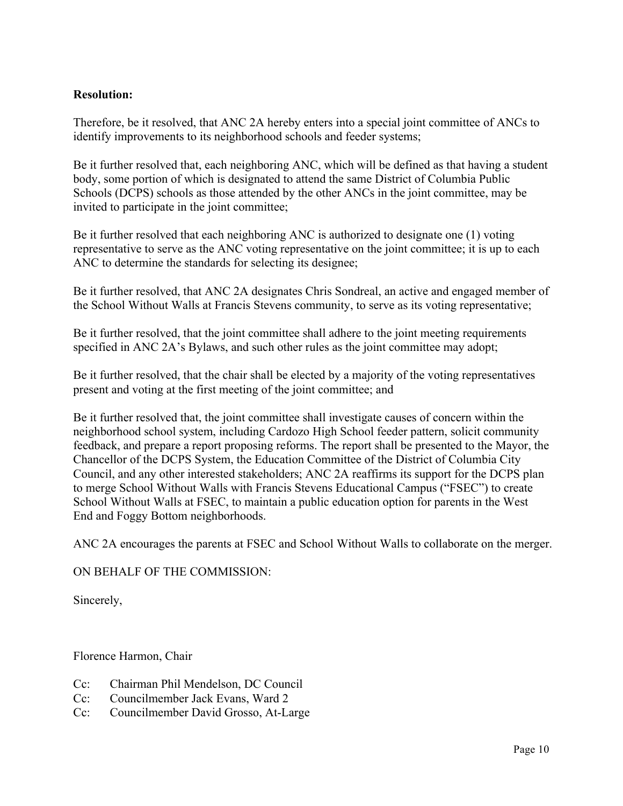# **Resolution:**

Therefore, be it resolved, that ANC 2A hereby enters into a special joint committee of ANCs to identify improvements to its neighborhood schools and feeder systems;

Be it further resolved that, each neighboring ANC, which will be defined as that having a student body, some portion of which is designated to attend the same District of Columbia Public Schools (DCPS) schools as those attended by the other ANCs in the joint committee, may be invited to participate in the joint committee;

Be it further resolved that each neighboring ANC is authorized to designate one (1) voting representative to serve as the ANC voting representative on the joint committee; it is up to each ANC to determine the standards for selecting its designee;

Be it further resolved, that ANC 2A designates Chris Sondreal, an active and engaged member of the School Without Walls at Francis Stevens community, to serve as its voting representative;

Be it further resolved, that the joint committee shall adhere to the joint meeting requirements specified in ANC 2A's Bylaws, and such other rules as the joint committee may adopt;

Be it further resolved, that the chair shall be elected by a majority of the voting representatives present and voting at the first meeting of the joint committee; and

Be it further resolved that, the joint committee shall investigate causes of concern within the neighborhood school system, including Cardozo High School feeder pattern, solicit community feedback, and prepare a report proposing reforms. The report shall be presented to the Mayor, the Chancellor of the DCPS System, the Education Committee of the District of Columbia City Council, and any other interested stakeholders; ANC 2A reaffirms its support for the DCPS plan to merge School Without Walls with Francis Stevens Educational Campus ("FSEC") to create School Without Walls at FSEC, to maintain a public education option for parents in the West End and Foggy Bottom neighborhoods.

ANC 2A encourages the parents at FSEC and School Without Walls to collaborate on the merger.

# ON BEHALF OF THE COMMISSION:

Sincerely,

Florence Harmon, Chair

- Cc: Chairman Phil Mendelson, DC Council
- Cc: Councilmember Jack Evans, Ward 2
- Cc: Councilmember David Grosso, At-Large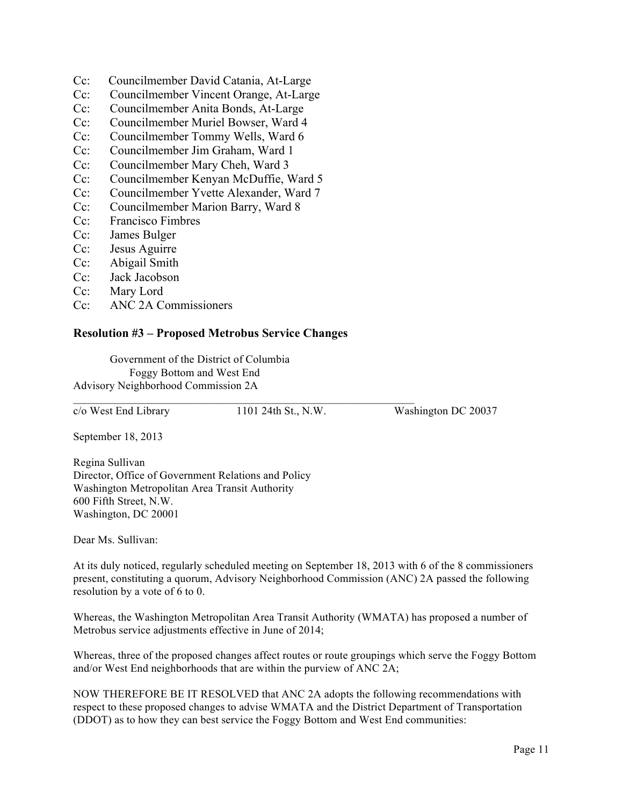- Cc: Councilmember David Catania, At-Large
- Cc: Councilmember Vincent Orange, At-Large
- Cc: Councilmember Anita Bonds, At-Large
- Cc: Councilmember Muriel Bowser, Ward 4
- Cc: Councilmember Tommy Wells, Ward 6
- Cc: Councilmember Jim Graham, Ward 1
- Cc: Councilmember Mary Cheh, Ward 3
- Cc: Councilmember Kenyan McDuffie, Ward 5
- Cc: Councilmember Yvette Alexander, Ward 7
- Cc: Councilmember Marion Barry, Ward 8
- Cc: Francisco Fimbres
- Cc: James Bulger
- Cc: Jesus Aguirre
- Cc: Abigail Smith
- Cc: Jack Jacobson
- Cc: Mary Lord
- Cc: ANC 2A Commissioners

## **Resolution #3 – Proposed Metrobus Service Changes**

Government of the District of Columbia Foggy Bottom and West End Advisory Neighborhood Commission 2A

c/o West End Library 1101 24th St., N.W. Washington DC 20037

 $\mathcal{L}_\text{max} = \mathcal{L}_\text{max} = \mathcal{L}_\text{max} = \mathcal{L}_\text{max} = \mathcal{L}_\text{max} = \mathcal{L}_\text{max} = \mathcal{L}_\text{max} = \mathcal{L}_\text{max} = \mathcal{L}_\text{max} = \mathcal{L}_\text{max} = \mathcal{L}_\text{max} = \mathcal{L}_\text{max} = \mathcal{L}_\text{max} = \mathcal{L}_\text{max} = \mathcal{L}_\text{max} = \mathcal{L}_\text{max} = \mathcal{L}_\text{max} = \mathcal{L}_\text{max} = \mathcal{$ 

September 18, 2013

Regina Sullivan Director, Office of Government Relations and Policy Washington Metropolitan Area Transit Authority 600 Fifth Street, N.W. Washington, DC 20001

Dear Ms. Sullivan:

At its duly noticed, regularly scheduled meeting on September 18, 2013 with 6 of the 8 commissioners present, constituting a quorum, Advisory Neighborhood Commission (ANC) 2A passed the following resolution by a vote of 6 to 0.

Whereas, the Washington Metropolitan Area Transit Authority (WMATA) has proposed a number of Metrobus service adjustments effective in June of 2014;

Whereas, three of the proposed changes affect routes or route groupings which serve the Foggy Bottom and/or West End neighborhoods that are within the purview of ANC 2A;

NOW THEREFORE BE IT RESOLVED that ANC 2A adopts the following recommendations with respect to these proposed changes to advise WMATA and the District Department of Transportation (DDOT) as to how they can best service the Foggy Bottom and West End communities: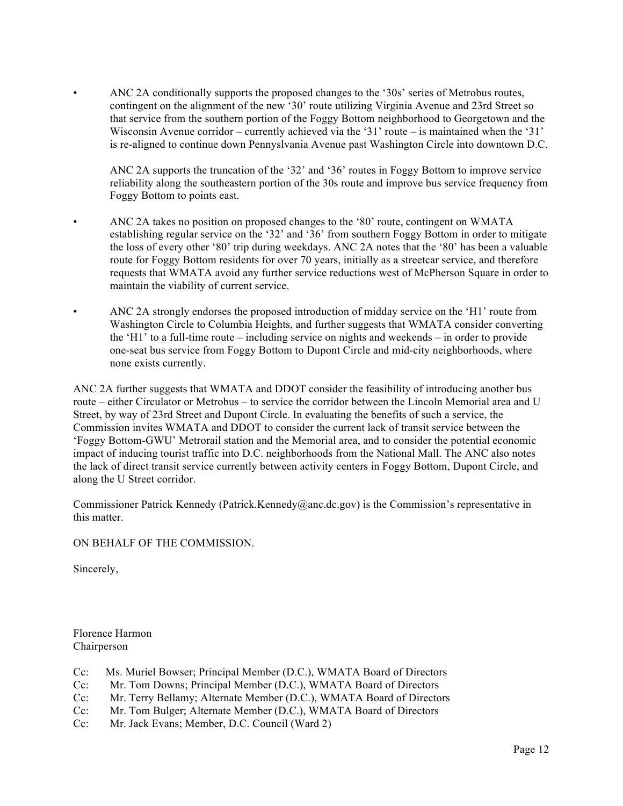• ANC 2A conditionally supports the proposed changes to the '30s' series of Metrobus routes, contingent on the alignment of the new '30' route utilizing Virginia Avenue and 23rd Street so that service from the southern portion of the Foggy Bottom neighborhood to Georgetown and the Wisconsin Avenue corridor – currently achieved via the '31' route – is maintained when the '31' is re-aligned to continue down Pennyslvania Avenue past Washington Circle into downtown D.C.

ANC 2A supports the truncation of the '32' and '36' routes in Foggy Bottom to improve service reliability along the southeastern portion of the 30s route and improve bus service frequency from Foggy Bottom to points east.

- ANC 2A takes no position on proposed changes to the '80' route, contingent on WMATA establishing regular service on the '32' and '36' from southern Foggy Bottom in order to mitigate the loss of every other '80' trip during weekdays. ANC 2A notes that the '80' has been a valuable route for Foggy Bottom residents for over 70 years, initially as a streetcar service, and therefore requests that WMATA avoid any further service reductions west of McPherson Square in order to maintain the viability of current service.
- ANC 2A strongly endorses the proposed introduction of midday service on the 'H1' route from Washington Circle to Columbia Heights, and further suggests that WMATA consider converting the 'H1' to a full-time route – including service on nights and weekends – in order to provide one-seat bus service from Foggy Bottom to Dupont Circle and mid-city neighborhoods, where none exists currently.

ANC 2A further suggests that WMATA and DDOT consider the feasibility of introducing another bus route – either Circulator or Metrobus – to service the corridor between the Lincoln Memorial area and U Street, by way of 23rd Street and Dupont Circle. In evaluating the benefits of such a service, the Commission invites WMATA and DDOT to consider the current lack of transit service between the 'Foggy Bottom-GWU' Metrorail station and the Memorial area, and to consider the potential economic impact of inducing tourist traffic into D.C. neighborhoods from the National Mall. The ANC also notes the lack of direct transit service currently between activity centers in Foggy Bottom, Dupont Circle, and along the U Street corridor.

Commissioner Patrick Kennedy (Patrick.Kennedy@anc.dc.gov) is the Commission's representative in this matter.

#### ON BEHALF OF THE COMMISSION.

Sincerely,

Florence Harmon Chairperson

- Cc: Ms. Muriel Bowser; Principal Member (D.C.), WMATA Board of Directors
- Cc: Mr. Tom Downs; Principal Member (D.C.), WMATA Board of Directors
- Cc: Mr. Terry Bellamy; Alternate Member (D.C.), WMATA Board of Directors
- Cc: Mr. Tom Bulger; Alternate Member (D.C.), WMATA Board of Directors
- Cc: Mr. Jack Evans; Member, D.C. Council (Ward 2)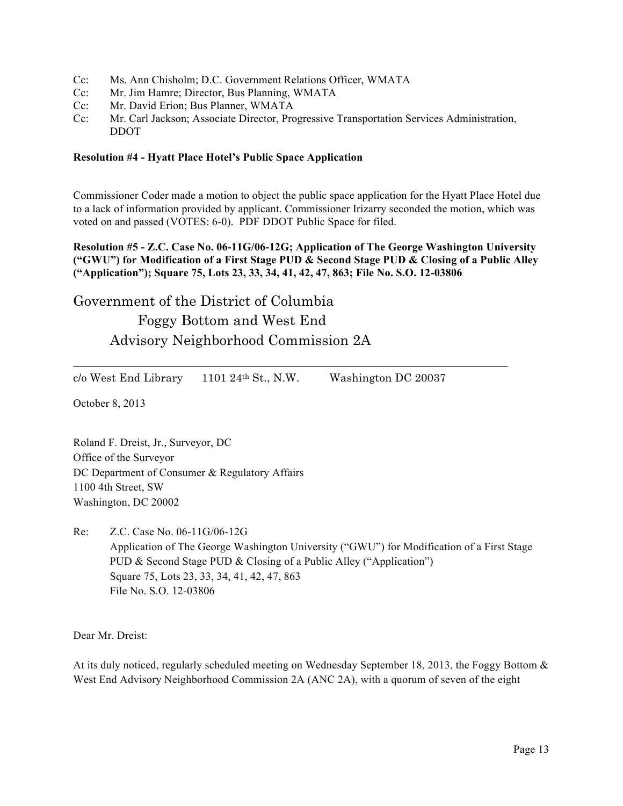- Cc: Ms. Ann Chisholm; D.C. Government Relations Officer, WMATA
- Cc: Mr. Jim Hamre; Director, Bus Planning, WMATA
- Cc: Mr. David Erion; Bus Planner, WMATA
- Cc: Mr. Carl Jackson; Associate Director, Progressive Transportation Services Administration, DDOT

#### **Resolution #4 - Hyatt Place Hotel's Public Space Application**

Commissioner Coder made a motion to object the public space application for the Hyatt Place Hotel due to a lack of information provided by applicant. Commissioner Irizarry seconded the motion, which was voted on and passed (VOTES: 6-0). PDF DDOT Public Space for filed.

**Resolution #5 - Z.C. Case No. 06-11G/06-12G; Application of The George Washington University ("GWU") for Modification of a First Stage PUD & Second Stage PUD & Closing of a Public Alley ("Application"); Square 75, Lots 23, 33, 34, 41, 42, 47, 863; File No. S.O. 12-03806**

# Government of the District of Columbia Foggy Bottom and West End Advisory Neighborhood Commission 2A

 $c/\sigma$  West End Library 1101 24<sup>th</sup> St., N.W. Washington DC 20037

\_\_\_\_\_\_\_\_\_\_\_\_\_\_\_\_\_\_\_\_\_\_\_\_\_\_\_\_\_\_\_\_\_\_\_\_\_\_\_\_\_\_\_\_\_\_\_\_\_\_\_\_\_\_\_\_\_\_\_\_\_

October 8, 2013

Roland F. Dreist, Jr., Surveyor, DC Office of the Surveyor DC Department of Consumer & Regulatory Affairs 1100 4th Street, SW Washington, DC 20002

Re: Z.C. Case No. 06-11G/06-12G Application of The George Washington University ("GWU") for Modification of a First Stage PUD & Second Stage PUD & Closing of a Public Alley ("Application") Square 75, Lots 23, 33, 34, 41, 42, 47, 863 File No. S.O. 12-03806

Dear Mr. Dreist:

At its duly noticed, regularly scheduled meeting on Wednesday September 18, 2013, the Foggy Bottom & West End Advisory Neighborhood Commission 2A (ANC 2A), with a quorum of seven of the eight